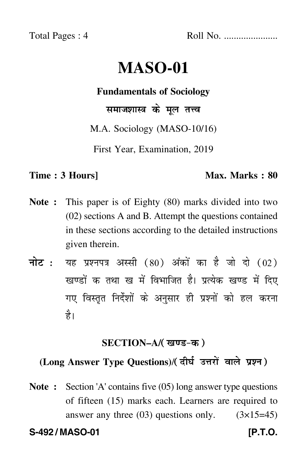Total Pages : 4 Roll No. ......................

# **MASO-01**

## **Fundamentals of Sociology**

समाजशास्त्र के मूल तत्त्व

M.A. Sociology (MASO-10/16)

First Year, Examination, 2019

### **Time : 3 Hours]** Max. Marks : 80

- **Note :** This paper is of Eighty (80) marks divided into two (02) sections A and B. Attempt the questions contained in these sections according to the detailed instructions given therein.
- नोट : यह प्रश्नपत्र अस्सी (80) अंकों का है जो दो (02) खण्डों क तथा ख में विभाजित है। प्रत्येक खण्ड में दिए गए विस्तृत निर्देशों के अनुसार ही प्रश्नों को हल करन<mark>ा</mark> है।

# **SECTION–A/**

# **(Long Answer Type Questions)**/

**Note :** Section 'A' contains five (05) long answer type questions of fifteen (15) marks each. Learners are required to answer any three  $(03)$  questions only.  $(3\times15=45)$ 

**S-492 / MASO-01 [P.T.O.**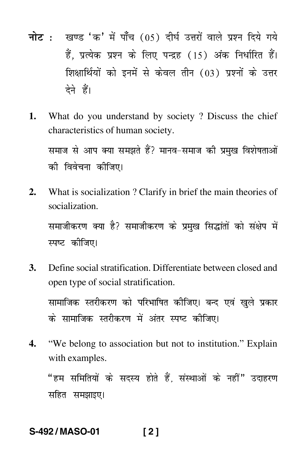- <mark>नोट</mark> : खण्ड 'क' में पाँच (05) दीर्घ उत्तरों वाले प्रश्न दिये गये हैं, प्रत्येक प्रश्न के लिए पन्द्रह (15) अंक निर्धारित हैं। शिक्षार्थियों को इनमें से केवल तीन (03) प्रश्नों के उत्तर देने हैं।
- **1.** What do you understand by society ? Discuss the chief characteristics of human society.

समाज से आप क्या समझते हैं? मानव-समाज की प्रमुख विशेषताओं की विवेचना कीजिए।

**2.** What is socialization ? Clarify in brief the main theories of socialization.

समाजीकरण क्या है? समाजीकरण के प्रमुख सिद्धांतों को संक्षेप में स्पष्ट कीजिए।

**3.** Define social stratification. Differentiate between closed and open type of social stratification.

सामाजिक स्तरीकरण को परिभाषित कीजिए। बन्द एवं खुले प्रकार के सामाजिक स्तरीकरण में अंतर स्पष्ट कीजिए।

**4.** "We belong to association but not to institution." Explain with examples.

"हम समितियों के सदस्य होते हैं, संस्थाओं के नहीं" उदाहरण सहित समझाइए<mark>।</mark>

# **S-492 / MASO-01 [ 2 ]**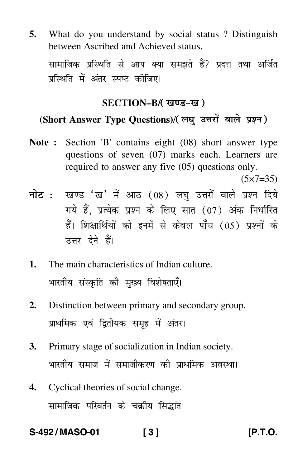**5.** What do you understand by social status ? Distinguish between Ascribed and Achieved status.

सामाजिक प्रस्थिति से आप क्या समझते हैं? प्रदत्त तथा अर्जित प्रस्थिति में अंतर स्पष्ट कीजिए।

### **SECTION–B/**

# **(Short Answer Type Questions)**/

**Note :** Section 'B' contains eight (08) short answer type questions of seven (07) marks each. Learners are required to answer any five (05) questions only.

 $(5 \times 7 = 35)$ 

- <mark>नोट</mark> : खण्ड 'ख' में आठ (08) लघु उत्तरों वाले प्रश्न दिये गये हैं, प्रत्येक प्रश्न के लिए सात (07) अंक निर्धारित हैं। शिक्षार्थियों को इनमें से केवल पाँच (05) प्रश्नों के उत्तर देने हैं।
- **1.** The main characteristics of Indian culture. भारतीय संस्कृति की मुख्य विशेषताएँ।
- **2.** Distinction between primary and secondary group. प्राथमिक एवं द्वितीयक समूह में अंतर।
- **3.** Primary stage of socialization in Indian society. भारतीय समाज में समाजीकरण की प्राथमिक अवस्था।
- **4.** Cyclical theories of social change. सामाजिक परिवर्तन के चक्रीय सिद्<mark>धां</mark>त।

**S-492 / MASO-01 [ 3 ] [P.T.O.**